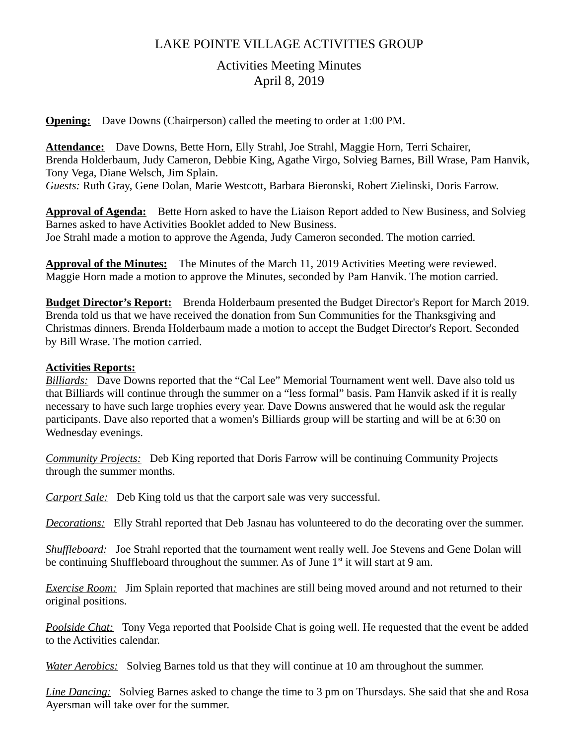## LAKE POINTE VILLAGE ACTIVITIES GROUP

# Activities Meeting Minutes April 8, 2019

**Opening:** Dave Downs (Chairperson) called the meeting to order at 1:00 PM.

**Attendance:** Dave Downs, Bette Horn, Elly Strahl, Joe Strahl, Maggie Horn, Terri Schairer, Brenda Holderbaum, Judy Cameron, Debbie King, Agathe Virgo, Solvieg Barnes, Bill Wrase, Pam Hanvik, Tony Vega, Diane Welsch, Jim Splain.

*Guests:* Ruth Gray, Gene Dolan, Marie Westcott, Barbara Bieronski, Robert Zielinski, Doris Farrow.

**Approval of Agenda:** Bette Horn asked to have the Liaison Report added to New Business, and Solvieg Barnes asked to have Activities Booklet added to New Business. Joe Strahl made a motion to approve the Agenda, Judy Cameron seconded. The motion carried.

**Approval of the Minutes:** The Minutes of the March 11, 2019 Activities Meeting were reviewed. Maggie Horn made a motion to approve the Minutes, seconded by Pam Hanvik. The motion carried.

**Budget Director's Report:** Brenda Holderbaum presented the Budget Director's Report for March 2019. Brenda told us that we have received the donation from Sun Communities for the Thanksgiving and Christmas dinners. Brenda Holderbaum made a motion to accept the Budget Director's Report. Seconded by Bill Wrase. The motion carried.

### **Activities Reports:**

*Billiards:* Dave Downs reported that the "Cal Lee" Memorial Tournament went well. Dave also told us that Billiards will continue through the summer on a "less formal" basis. Pam Hanvik asked if it is really necessary to have such large trophies every year. Dave Downs answered that he would ask the regular participants. Dave also reported that a women's Billiards group will be starting and will be at 6:30 on Wednesday evenings.

*Community Projects:* Deb King reported that Doris Farrow will be continuing Community Projects through the summer months.

*Carport Sale:* Deb King told us that the carport sale was very successful.

*Decorations:* Elly Strahl reported that Deb Jasnau has volunteered to do the decorating over the summer.

*Shuffleboard:* Joe Strahl reported that the tournament went really well. Joe Stevens and Gene Dolan will be continuing Shuffleboard throughout the summer. As of June  $1<sup>st</sup>$  it will start at 9 am.

*Exercise Room:* Jim Splain reported that machines are still being moved around and not returned to their original positions.

*Poolside Chat:* Tony Vega reported that Poolside Chat is going well. He requested that the event be added to the Activities calendar.

*Water Aerobics:* Solvieg Barnes told us that they will continue at 10 am throughout the summer.

*Line Dancing:* Solvieg Barnes asked to change the time to 3 pm on Thursdays. She said that she and Rosa Ayersman will take over for the summer.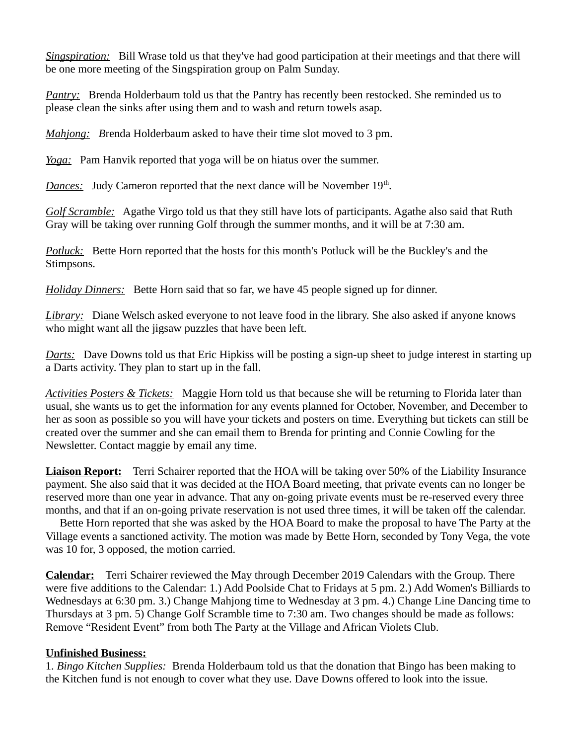*Singspiration:* Bill Wrase told us that they've had good participation at their meetings and that there will be one more meeting of the Singspiration group on Palm Sunday.

*Pantry:* Brenda Holderbaum told us that the Pantry has recently been restocked. She reminded us to please clean the sinks after using them and to wash and return towels asap.

*Mahjong: B*renda Holderbaum asked to have their time slot moved to 3 pm.

*Yoga:* Pam Hanvik reported that yoga will be on hiatus over the summer.

**Dances:** Judy Cameron reported that the next dance will be November 19<sup>th</sup>.

*Golf Scramble:* Agathe Virgo told us that they still have lots of participants. Agathe also said that Ruth Gray will be taking over running Golf through the summer months, and it will be at 7:30 am.

*Potluck:* Bette Horn reported that the hosts for this month's Potluck will be the Buckley's and the Stimpsons.

*Holiday Dinners:* Bette Horn said that so far, we have 45 people signed up for dinner.

*Library:* Diane Welsch asked everyone to not leave food in the library. She also asked if anyone knows who might want all the jigsaw puzzles that have been left.

*Darts:* Dave Downs told us that Eric Hipkiss will be posting a sign-up sheet to judge interest in starting up a Darts activity. They plan to start up in the fall.

*Activities Posters & Tickets:* Maggie Horn told us that because she will be returning to Florida later than usual, she wants us to get the information for any events planned for October, November, and December to her as soon as possible so you will have your tickets and posters on time. Everything but tickets can still be created over the summer and she can email them to Brenda for printing and Connie Cowling for the Newsletter. Contact maggie by email any time.

**Liaison Report:**Terri Schairer reported that the HOA will be taking over 50% of the Liability Insurance payment. She also said that it was decided at the HOA Board meeting, that private events can no longer be reserved more than one year in advance. That any on-going private events must be re-reserved every three months, and that if an on-going private reservation is not used three times, it will be taken off the calendar.

 Bette Horn reported that she was asked by the HOA Board to make the proposal to have The Party at the Village events a sanctioned activity. The motion was made by Bette Horn, seconded by Tony Vega, the vote was 10 for, 3 opposed, the motion carried.

**Calendar:**Terri Schairer reviewed the May through December 2019 Calendars with the Group. There were five additions to the Calendar: 1.) Add Poolside Chat to Fridays at 5 pm. 2.) Add Women's Billiards to Wednesdays at 6:30 pm. 3.) Change Mahjong time to Wednesday at 3 pm. 4.) Change Line Dancing time to Thursdays at 3 pm. 5) Change Golf Scramble time to 7:30 am. Two changes should be made as follows: Remove "Resident Event" from both The Party at the Village and African Violets Club.

#### **Unfinished Business:**

1. *Bingo Kitchen Supplies:* Brenda Holderbaum told us that the donation that Bingo has been making to the Kitchen fund is not enough to cover what they use. Dave Downs offered to look into the issue.